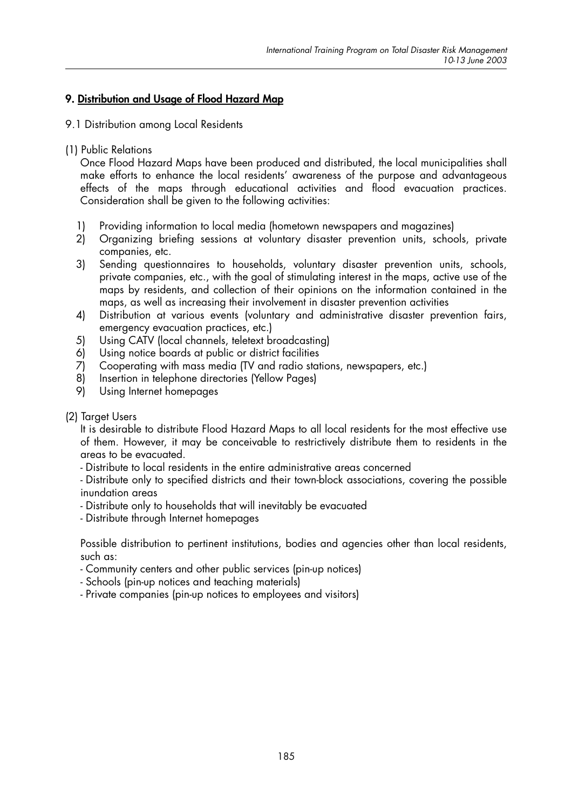## 9. Distribution and Usage of Flood Hazard Map

- 9.1 Distribution among Local Residents
- (1) Public Relations

Once Flood Hazard Maps have been produced and distributed, the local municipalities shall make efforts to enhance the local residents' awareness of the purpose and advantageous effects of the maps through educational activities and flood evacuation practices. Consideration shall be given to the following activities:

- $1)$ Providing information to local media (hometown newspapers and magazines)
- $\overline{2}$ ) Organizing briefing sessions at voluntary disaster prevention units, schools, private companies, etc.
- Sending questionnaires to households, voluntary disaster prevention units, schools, 3) private companies, etc., with the goal of stimulating interest in the maps, active use of the maps by residents, and collection of their opinions on the information contained in the maps, as well as increasing their involvement in disaster prevention activities
- Distribution at various events (voluntary and administrative disaster prevention fairs,  $\mathbf{A}$ emergency evacuation practices, etc.)
- Using CATV (local channels, teletext broadcasting) 5)
- 61 Using notice boards at public or district facilities
- $7$ Cooperating with mass media (TV and radio stations, newspapers, etc.)
- 8) Insertion in telephone directories (Yellow Pages)
- 9) Using Internet homepages
- (2) Target Users

It is desirable to distribute Flood Hazard Maps to all local residents for the most effective use of them. However, it may be conceivable to restrictively distribute them to residents in the areas to be evacuated.

- Distribute to local residents in the entire administrative areas concerned

- Distribute only to specified districts and their town-block associations, covering the possible inundation areas

- Distribute only to households that will inevitably be evacuated
- Distribute through Internet homepages

Possible distribution to pertinent institutions, bodies and agencies other than local residents, such as:

- Community centers and other public services (pin-up notices)
- Schools (pin-up notices and teaching materials)
- Private companies (pin-up notices to employees and visitors)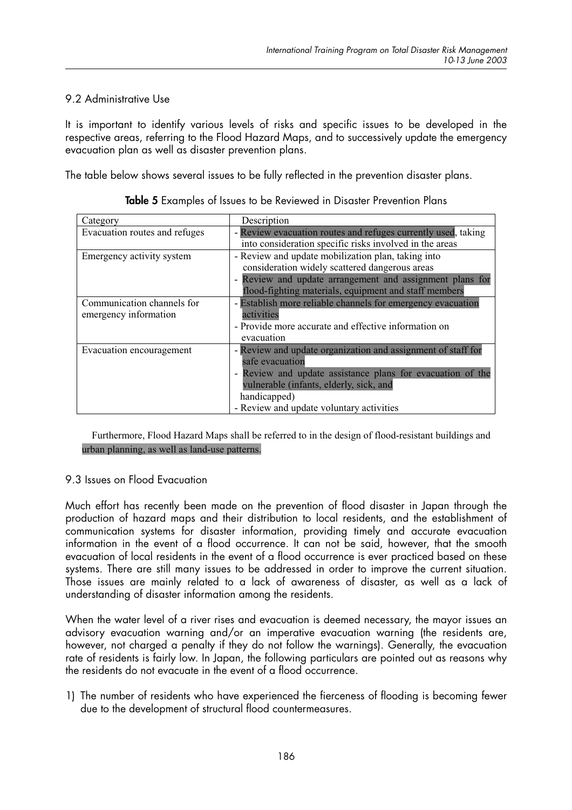## 9.2 Administrative Use

It is important to identify various levels of risks and specific issues to be developed in the respective areas, referring to the Flood Hazard Maps, and to successively update the emergency evacuation plan as well as disaster prevention plans.

The table below shows several issues to be fully reflected in the prevention disaster plans.

| Category                                            | Description                                                                                                                                                                                                                                          |
|-----------------------------------------------------|------------------------------------------------------------------------------------------------------------------------------------------------------------------------------------------------------------------------------------------------------|
| Evacuation routes and refuges                       | - Review evacuation routes and refuges currently used, taking<br>into consideration specific risks involved in the areas                                                                                                                             |
| Emergency activity system                           | - Review and update mobilization plan, taking into<br>consideration widely scattered dangerous areas<br>- Review and update arrangement and assignment plans for<br>flood-fighting materials, equipment and staff members                            |
| Communication channels for<br>emergency information | - Establish more reliable channels for emergency evacuation<br>activities<br>- Provide more accurate and effective information on<br>evacuation                                                                                                      |
| Evacuation encouragement                            | - Review and update organization and assignment of staff for<br>safe evacuation<br>- Review and update assistance plans for evacuation of the<br>vulnerable (infants, elderly, sick, and<br>handicapped)<br>- Review and update voluntary activities |

**Table 5** Examples of Issues to be Reviewed in Disaster Prevention Plans

Furthermore, Flood Hazard Maps shall be referred to in the design of flood-resistant buildings and urban planning, as well as land-use patterns.

## 9.3 Issues on Flood Evacuation

Much effort has recently been made on the prevention of flood disaster in Japan through the production of hazard maps and their distribution to local residents, and the establishment of communication systems for disaster information, providing timely and accurate evacuation information in the event of a flood occurrence. It can not be said, however, that the smooth evacuation of local residents in the event of a flood occurrence is ever practiced based on these systems. There are still many issues to be addressed in order to improve the current situation. Those issues are mainly related to a lack of awareness of disaster, as well as a lack of understanding of disaster information among the residents.

When the water level of a river rises and evacuation is deemed necessary, the mayor issues an advisory evacuation warning and/or an imperative evacuation warning (the residents are, however, not charged a penalty if they do not follow the warnings). Generally, the evacuation rate of residents is fairly low. In Japan, the following particulars are pointed out as reasons why the residents do not evacuate in the event of a flood occurrence.

1) The number of residents who have experienced the fierceness of flooding is becoming fewer due to the development of structural flood countermeasures.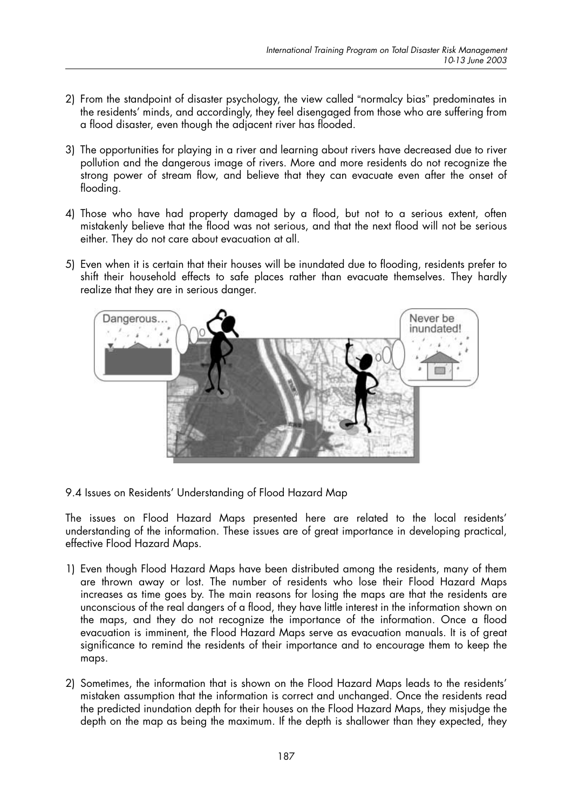- 2) From the standpoint of disaster psychology, the view called "normalcy bias" predominates in the residents' minds, and accordingly, they feel disengaged from those who are suffering from a flood disaster, even though the adjacent river has flooded.
- 3) The opportunities for playing in a river and learning about rivers have decreased due to river pollution and the dangerous image of rivers. More and more residents do not recognize the strong power of stream flow, and believe that they can evacuate even after the onset of flooding.
- 4) Those who have had property damaged by a flood, but not to a serious extent, often mistakenly believe that the flood was not serious, and that the next flood will not be serious either. They do not care about evacuation at all.
- 5) Even when it is certain that their houses will be inundated due to flooding, residents prefer to shift their household effects to safe places rather than evacuate themselves. They hardly realize that they are in serious danger.



9.4 Issues on Residents' Understanding of Flood Hazard Map

The issues on Flood Hazard Maps presented here are related to the local residents' understanding of the information. These issues are of great importance in developing practical, effective Flood Hazard Maps.

- 1) Even though Flood Hazard Maps have been distributed among the residents, many of them are thrown away or lost. The number of residents who lose their Flood Hazard Maps increases as time goes by. The main reasons for losing the maps are that the residents are unconscious of the real dangers of a flood, they have little interest in the information shown on the maps, and they do not recognize the importance of the information. Once a flood evacuation is imminent, the Flood Hazard Maps serve as evacuation manuals. It is of great significance to remind the residents of their importance and to encourage them to keep the maps.
- 2) Sometimes, the information that is shown on the Flood Hazard Maps leads to the residents' mistaken assumption that the information is correct and unchanged. Once the residents read the predicted inundation depth for their houses on the Flood Hazard Maps, they misjudge the depth on the map as being the maximum. If the depth is shallower than they expected, they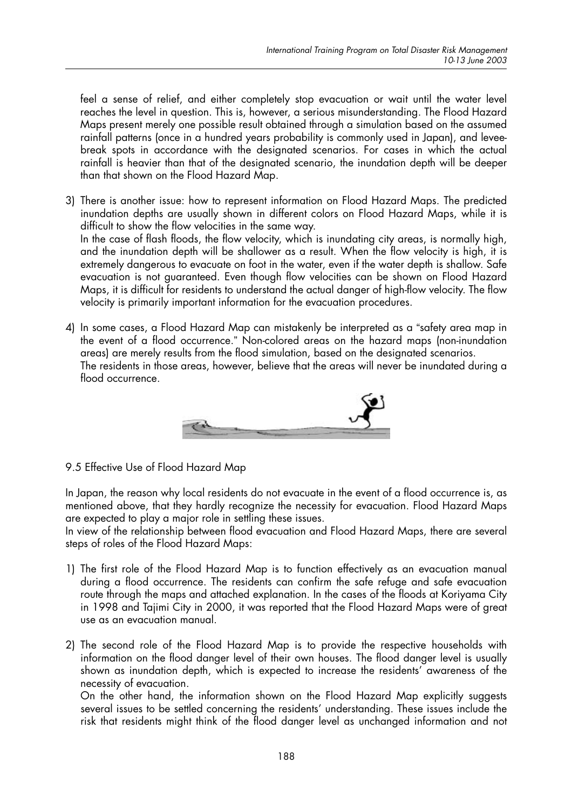feel a sense of relief, and either completely stop evacuation or wait until the water level reaches the level in question. This is, however, a serious misunderstanding. The Flood Hazard Maps present merely one possible result obtained through a simulation based on the assumed rainfall patterns (once in a hundred years probability is commonly used in Japan), and leveebreak spots in accordance with the designated scenarios. For cases in which the actual rainfall is heavier than that of the designated scenario, the inundation depth will be deeper than that shown on the Flood Hazard Map.

- 3) There is another issue: how to represent information on Flood Hazard Maps. The predicted inundation depths are usually shown in different colors on Flood Hazard Maps, while it is difficult to show the flow velocities in the same way. In the case of flash floods, the flow velocity, which is inundating city areas, is normally high, and the inundation depth will be shallower as a result. When the flow velocity is high, it is extremely dangerous to evacuate on foot in the water, even if the water depth is shallow. Safe evacuation is not guaranteed. Even though flow velocities can be shown on Flood Hazard Maps, it is difficult for residents to understand the actual danger of high-flow velocity. The flow velocity is primarily important information for the evacuation procedures.
- 4) In some cases, a Flood Hazard Map can mistakenly be interpreted as a "safety area map in the event of a flood occurrence." Non-colored areas on the hazard maps (non-inundation areas) are merely results from the flood simulation, based on the designated scenarios. The residents in those areas, however, believe that the areas will never be inundated during a flood occurrence.



9.5 Effective Use of Flood Hazard Map

In Japan, the reason why local residents do not evacuate in the event of a flood occurrence is, as mentioned above, that they hardly recognize the necessity for evacuation. Flood Hazard Maps are expected to play a major role in settling these issues.

In view of the relationship between flood evacuation and Flood Hazard Maps, there are several steps of roles of the Flood Hazard Maps:

- 1) The first role of the Flood Hazard Map is to function effectively as an evacuation manual during a flood occurrence. The residents can confirm the safe refuge and safe evacuation route through the maps and attached explanation. In the cases of the floods at Koriyama City in 1998 and Tajimi City in 2000, it was reported that the Flood Hazard Maps were of great use as an evacuation manual.
- 2) The second role of the Flood Hazard Map is to provide the respective households with information on the flood danger level of their own houses. The flood danger level is usually shown as inundation depth, which is expected to increase the residents' awareness of the necessity of evacuation.

On the other hand, the information shown on the Flood Hazard Map explicitly suggests several issues to be settled concerning the residents' understanding. These issues include the risk that residents might think of the flood danger level as unchanged information and not